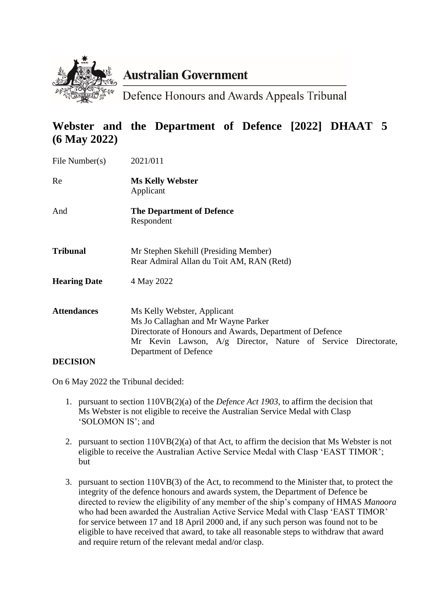

# **Australian Government**

Defence Honours and Awards Appeals Tribunal

# **Webster and the Department of Defence [2022] DHAAT 5 (6 May 2022)**

| File Number(s)      | 2021/011                                                                                                                                                                                                                 |
|---------------------|--------------------------------------------------------------------------------------------------------------------------------------------------------------------------------------------------------------------------|
| Re                  | <b>Ms Kelly Webster</b><br>Applicant                                                                                                                                                                                     |
| And                 | <b>The Department of Defence</b><br>Respondent                                                                                                                                                                           |
| <b>Tribunal</b>     | Mr Stephen Skehill (Presiding Member)<br>Rear Admiral Allan du Toit AM, RAN (Retd)                                                                                                                                       |
| <b>Hearing Date</b> | 4 May 2022                                                                                                                                                                                                               |
| <b>Attendances</b>  | Ms Kelly Webster, Applicant<br>Ms Jo Callaghan and Mr Wayne Parker<br>Directorate of Honours and Awards, Department of Defence<br>Mr Kevin Lawson, A/g Director, Nature of Service Directorate,<br>Department of Defence |
| <b>DECISION</b>     |                                                                                                                                                                                                                          |

On 6 May 2022 the Tribunal decided:

- 1. pursuant to section 110VB(2)(a) of the *Defence Act 1903*, to affirm the decision that Ms Webster is not eligible to receive the Australian Service Medal with Clasp 'SOLOMON IS'; and
- 2. pursuant to section 110VB(2)(a) of that Act, to affirm the decision that Ms Webster is not eligible to receive the Australian Active Service Medal with Clasp 'EAST TIMOR'; but
- 3. pursuant to section 110VB(3) of the Act, to recommend to the Minister that, to protect the integrity of the defence honours and awards system, the Department of Defence be directed to review the eligibility of any member of the ship's company of HMAS *Manoora* who had been awarded the Australian Active Service Medal with Clasp 'EAST TIMOR' for service between 17 and 18 April 2000 and, if any such person was found not to be eligible to have received that award, to take all reasonable steps to withdraw that award and require return of the relevant medal and/or clasp.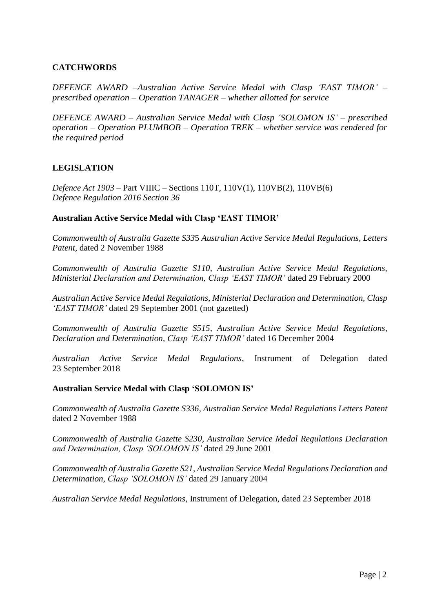#### **CATCHWORDS**

*DEFENCE AWARD –Australian Active Service Medal with Clasp 'EAST TIMOR' – prescribed operation – Operation TANAGER – whether allotted for service*

*DEFENCE AWARD – Australian Service Medal with Clasp 'SOLOMON IS' – prescribed operation – Operation PLUMBOB – Operation TREK – whether service was rendered for the required period*

#### **LEGISLATION**

*Defence Act 1903 –* Part VIIIC – Sections 110T, 110V(1), 110VB(2), 110VB(6) *Defence Regulation 2016 Section 36*

#### **Australian Active Service Medal with Clasp 'EAST TIMOR'**

*Commonwealth of Australia Gazette S33*5 *Australian Active Service Medal Regulations, Letters Patent,* dated 2 November 1988

*Commonwealth of Australia Gazette S110*, *Australian Active Service Medal Regulations, Ministerial Declaration and Determination, Clasp 'EAST TIMOR'* dated 29 February 2000

*Australian Active Service Medal Regulations, Ministerial Declaration and Determination, Clasp 'EAST TIMOR'* dated 29 September 2001 (not gazetted)

*Commonwealth of Australia Gazette S515*, *Australian Active Service Medal Regulations, Declaration and Determination, Clasp 'EAST TIMOR'* dated 16 December 2004

*Australian Active Service Medal Regulations*, Instrument of Delegation dated 23 September 2018

#### **Australian Service Medal with Clasp 'SOLOMON IS'**

*Commonwealth of Australia Gazette S336, Australian Service Medal Regulations Letters Patent* dated 2 November 1988

*Commonwealth of Australia Gazette S230, Australian Service Medal Regulations Declaration and Determination, Clasp 'SOLOMON IS'* dated 29 June 2001

*Commonwealth of Australia Gazette S21, Australian Service Medal Regulations Declaration and Determination, Clasp 'SOLOMON IS'* dated 29 January 2004

*Australian Service Medal Regulations*, Instrument of Delegation, dated 23 September 2018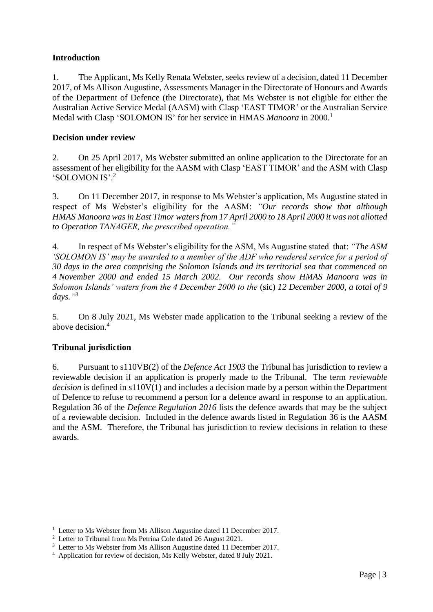# **Introduction**

1. The Applicant, Ms Kelly Renata Webster, seeks review of a decision, dated 11 December 2017, of Ms Allison Augustine, Assessments Manager in the Directorate of Honours and Awards of the Department of Defence (the Directorate), that Ms Webster is not eligible for either the Australian Active Service Medal (AASM) with Clasp 'EAST TIMOR' or the Australian Service Medal with Clasp 'SOLOMON IS' for her service in HMAS *Manoora* in 2000.<sup>1</sup>

## **Decision under review**

2. On 25 April 2017, Ms Webster submitted an online application to the Directorate for an assessment of her eligibility for the AASM with Clasp 'EAST TIMOR' and the ASM with Clasp 'SOLOMON IS'.<sup>2</sup>

3. On 11 December 2017, in response to Ms Webster's application, Ms Augustine stated in respect of Ms Webster's eligibility for the AASM: *"Our records show that although HMAS Manoora was in East Timor waters from 17 April 2000 to 18 April 2000 it was not allotted to Operation TANAGER, the prescribed operation."*

4. In respect of Ms Webster's eligibility for the ASM, Ms Augustine stated that: *"The ASM 'SOLOMON IS' may be awarded to a member of the ADF who rendered service for a period of 30 days in the area comprising the Solomon Islands and its territorial sea that commenced on 4 November 2000 and ended 15 March 2002. Our records show HMAS Manoora was in Solomon Islands' waters from the 4 December 2000 to the* (sic) *12 December 2000, a total of 9 days."* 3

5. On 8 July 2021, Ms Webster made application to the Tribunal seeking a review of the above decision<sup>4</sup>

# **Tribunal jurisdiction**

<u>.</u>

6. Pursuant to s110VB(2) of the *Defence Act 1903* the Tribunal has jurisdiction to review a reviewable decision if an application is properly made to the Tribunal. The term *reviewable decision* is defined in s110V(1) and includes a decision made by a person within the Department of Defence to refuse to recommend a person for a defence award in response to an application. Regulation 36 of the *Defence Regulation 2016* lists the defence awards that may be the subject of a reviewable decision. Included in the defence awards listed in Regulation 36 is the AASM and the ASM. Therefore, the Tribunal has jurisdiction to review decisions in relation to these awards.

<sup>&</sup>lt;sup>1</sup> Letter to Ms Webster from Ms Allison Augustine dated 11 December 2017.

<sup>&</sup>lt;sup>2</sup> Letter to Tribunal from Ms Petrina Cole dated 26 August 2021.

<sup>&</sup>lt;sup>3</sup> Letter to Ms Webster from Ms Allison Augustine dated 11 December 2017.

<sup>4</sup> Application for review of decision, Ms Kelly Webster, dated 8 July 2021.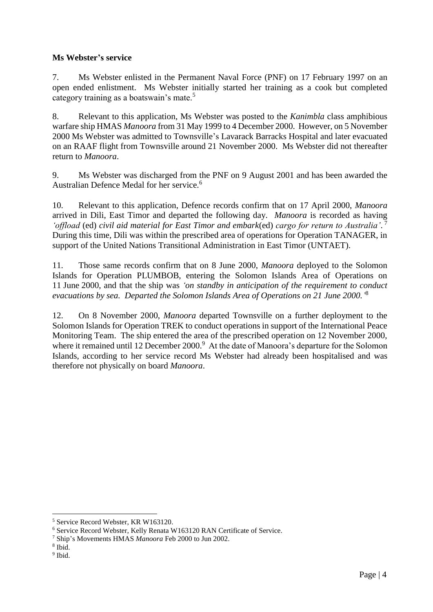# **Ms Webster's service**

7. Ms Webster enlisted in the Permanent Naval Force (PNF) on 17 February 1997 on an open ended enlistment. Ms Webster initially started her training as a cook but completed category training as a boatswain's mate.<sup>5</sup>

8. Relevant to this application, Ms Webster was posted to the *Kanimbla* class amphibious warfare ship HMAS *Manoora* from 31 May 1999 to 4 December 2000. However, on 5 November 2000 Ms Webster was admitted to Townsville's Lavarack Barracks Hospital and later evacuated on an RAAF flight from Townsville around 21 November 2000. Ms Webster did not thereafter return to *Manoora*.

9. Ms Webster was discharged from the PNF on 9 August 2001 and has been awarded the Australian Defence Medal for her service.<sup>6</sup>

10. Relevant to this application, Defence records confirm that on 17 April 2000, *Manoora* arrived in Dili, East Timor and departed the following day. *Manoora* is recorded as having *'offload* (ed) *civil aid material for East Timor and embark*(ed) *cargo for return to Australia'*. 7 During this time, Dili was within the prescribed area of operations for Operation TANAGER, in support of the United Nations Transitional Administration in East Timor (UNTAET).

11. Those same records confirm that on 8 June 2000, *Manoora* deployed to the Solomon Islands for Operation PLUMBOB, entering the Solomon Islands Area of Operations on 11 June 2000, and that the ship was *'on standby in anticipation of the requirement to conduct evacuations by sea. Departed the Solomon Islands Area of Operations on 21 June 2000.'* 8

12. On 8 November 2000, *Manoora* departed Townsville on a further deployment to the Solomon Islands for Operation TREK to conduct operations in support of the International Peace Monitoring Team. The ship entered the area of the prescribed operation on 12 November 2000, where it remained until 12 December 2000.<sup>9</sup> At the date of Manoora's departure for the Solomon Islands, according to her service record Ms Webster had already been hospitalised and was therefore not physically on board *Manoora*.

1

<sup>5</sup> Service Record Webster, KR W163120.

<sup>6</sup> Service Record Webster, Kelly Renata W163120 RAN Certificate of Service.

<sup>7</sup> Ship's Movements HMAS *Manoora* Feb 2000 to Jun 2002.

<sup>8</sup> Ibid.

<sup>&</sup>lt;sup>9</sup> Ibid.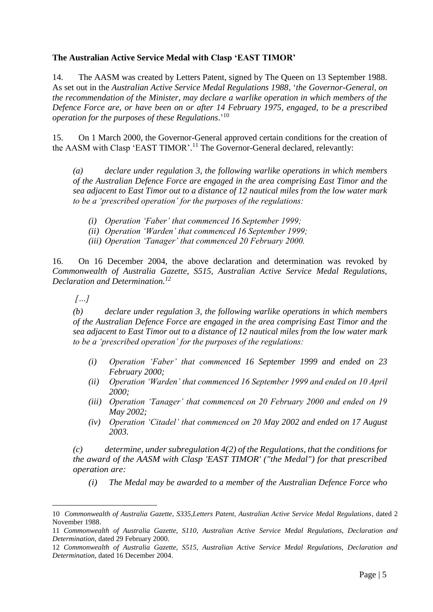## **The Australian Active Service Medal with Clasp 'EAST TIMOR'**

14. The AASM was created by Letters Patent, signed by The Queen on 13 September 1988. As set out in the *Australian Active Service Medal Regulations 1988*, '*the Governor-General, on the recommendation of the Minister, may declare a warlike operation in which members of the Defence Force are, or have been on or after 14 February 1975, engaged, to be a prescribed operation for the purposes of these Regulations*.' 10

15. On 1 March 2000, the Governor-General approved certain conditions for the creation of the AASM with Clasp 'EAST TIMOR'.<sup>11</sup> The Governor-General declared, relevantly:

*(a) declare under regulation 3, the following warlike operations in which members of the Australian Defence Force are engaged in the area comprising East Timor and the sea adjacent to East Timor out to a distance of 12 nautical miles from the low water mark to be a 'prescribed operation' for the purposes of the regulations:*

- *(i) Operation 'Faber' that commenced 16 September 1999;*
- *(ii) Operation 'Warden' that commenced 16 September 1999;*
- *(iii) Operation 'Tanager' that commenced 20 February 2000.*

16. On 16 December 2004, the above declaration and determination was revoked by *Commonwealth of Australia Gazette, S515, Australian Active Service Medal Regulations, Declaration and Determination.<sup>12</sup>*

*[…]*

1

*(b) declare under regulation 3, the following warlike operations in which members of the Australian Defence Force are engaged in the area comprising East Timor and the sea adjacent to East Timor out to a distance of 12 nautical miles from the low water mark to be a 'prescribed operation' for the purposes of the regulations:*

- *(i) Operation 'Faber' that commenced 16 September 1999 and ended on 23 February 2000;*
- *(ii) Operation 'Warden' that commenced 16 September 1999 and ended on 10 April 2000;*
- *(iii) Operation 'Tanager' that commenced on 20 February 2000 and ended on 19 May 2002;*
- *(iv) Operation 'Citadel' that commenced on 20 May 2002 and ended on 17 August 2003.*

*(c) determine, under subregulation 4(2) of the Regulations, that the conditions for the award of the AASM with Clasp 'EAST TIMOR' ("the Medal") for that prescribed operation are:*

*(i) The Medal may be awarded to a member of the Australian Defence Force who* 

<sup>10</sup> *Commonwealth of Australia Gazette, S335,Letters Patent, Australian Active Service Medal Regulations*, dated 2 November 1988.

<sup>11</sup> *Commonwealth of Australia Gazette, S110, Australian Active Service Medal Regulations, Declaration and Determination,* dated 29 February 2000.

<sup>12</sup> *Commonwealth of Australia Gazette, S515, Australian Active Service Medal Regulations, Declaration and Determination,* dated 16 December 2004.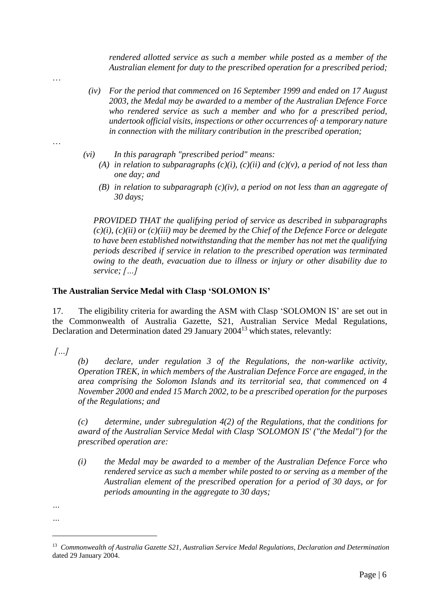*rendered allotted service as such a member while posted as a member of the Australian element for duty to the prescribed operation for a prescribed period;*

*(iv) For the period that commenced on 16 September 1999 and ended on 17 August 2003, the Medal may be awarded to a member of the Australian Defence Force who rendered service as such a member and who for a prescribed period, undertook official visits, inspections or other occurrences of· a temporary nature in connection with the military contribution in the prescribed operation;*

…

…

- *(vi) In this paragraph "prescribed period" means:*
	- (A) *in relation to subparagraphs*  $(c)(i)$ ,  $(c)(ii)$  *and*  $(c)(v)$ *, a period of not less than one day; and*
	- *(B) in relation to subparagraph (c)(iv), a period on not less than an aggregate of 30 days;*

*PROVIDED THAT the qualifying period of service as described in subparagraphs (c)(i), (c)(ii) or (c)(iii) may be deemed by the Chief of the Defence Force or delegate to have been established notwithstanding that the member has not met the qualifying periods described if service in relation to the prescribed operation was terminated owing to the death, evacuation due to illness or injury or other disability due to service; […]*

#### **The Australian Service Medal with Clasp 'SOLOMON IS'**

17. The eligibility criteria for awarding the ASM with Clasp 'SOLOMON IS' are set out in the Commonwealth of Australia Gazette, S21, Australian Service Medal Regulations, Declaration and Determination dated 29 January 2004<sup>13</sup> which states, relevantly:

*[…]*

*(b) declare, under regulation 3 of the Regulations, the non-warlike activity, Operation TREK, in which members of the Australian Defence Force are engaged, in the area comprising the Solomon Islands and its territorial sea, that commenced on 4 November 2000 and ended 15 March 2002, to be a prescribed operation for the purposes of the Regulations; and*

*(c) determine, under subregulation 4(2) of the Regulations, that the conditions for award of the Australian Service Medal with Clasp 'SOLOMON IS' ("the Medal") for the prescribed operation are:*

*(i) the Medal may be awarded to a member of the Australian Defence Force who rendered service as such a member while posted to or serving as a member of the Australian element of the prescribed operation for a period of 30 days, or for periods amounting in the aggregate to 30 days;*

<u>.</u>

*<sup>…</sup>*

*<sup>…</sup>*

<sup>13</sup> *Commonwealth of Australia Gazette S21, Australian Service Medal Regulations, Declaration and Determination* dated 29 January 2004.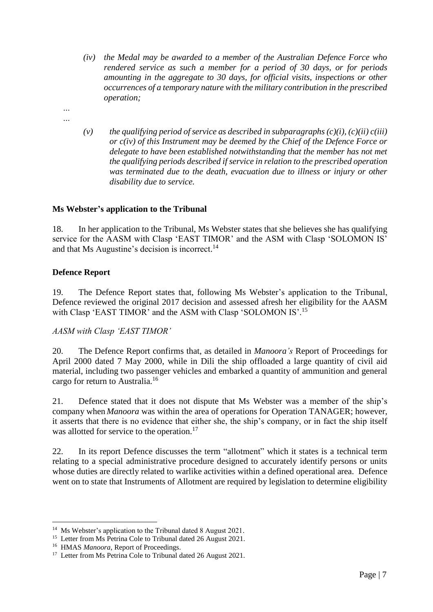- *(iv) the Medal may be awarded to a member of the Australian Defence Force who rendered service as such a member for a period of 30 days, or for periods amounting in the aggregate to 30 days, for official visits, inspections or other occurrences of a temporary nature with the military contribution in the prescribed operation;*
- *… …*
- *(v) the qualifying period of service as described in subparagraphs (c)(i), (c)(ii) c(iii) or c(iv) of this Instrument may be deemed by the Chief of the Defence Force or delegate to have been established notwithstanding that the member has not met the qualifying periods described if service in relation to the prescribed operation was terminated due to the death, evacuation due to illness or injury or other disability due to service.*

# **Ms Webster's application to the Tribunal**

18. In her application to the Tribunal, Ms Webster states that she believes she has qualifying service for the AASM with Clasp 'EAST TIMOR' and the ASM with Clasp 'SOLOMON IS' and that Ms Augustine's decision is incorrect.<sup>14</sup>

## **Defence Report**

19. The Defence Report states that, following Ms Webster's application to the Tribunal, Defence reviewed the original 2017 decision and assessed afresh her eligibility for the AASM with Clasp 'EAST TIMOR' and the ASM with Clasp 'SOLOMON IS'.<sup>15</sup>

## *AASM with Clasp 'EAST TIMOR'*

20. The Defence Report confirms that, as detailed in *Manoora's* Report of Proceedings for April 2000 dated 7 May 2000, while in Dili the ship offloaded a large quantity of civil aid material, including two passenger vehicles and embarked a quantity of ammunition and general cargo for return to Australia.<sup>16</sup>

21. Defence stated that it does not dispute that Ms Webster was a member of the ship's company when *Manoora* was within the area of operations for Operation TANAGER; however, it asserts that there is no evidence that either she, the ship's company, or in fact the ship itself was allotted for service to the operation.<sup>17</sup>

22. In its report Defence discusses the term "allotment" which it states is a technical term relating to a special administrative procedure designed to accurately identify persons or units whose duties are directly related to warlike activities within a defined operational area. Defence went on to state that Instruments of Allotment are required by legislation to determine eligibility

<u>.</u>

<sup>&</sup>lt;sup>14</sup> Ms Webster's application to the Tribunal dated 8 August 2021.

<sup>&</sup>lt;sup>15</sup> Letter from Ms Petrina Cole to Tribunal dated 26 August 2021.

<sup>&</sup>lt;sup>16</sup> HMAS *Manoora*, Report of Proceedings.

<sup>&</sup>lt;sup>17</sup> Letter from Ms Petrina Cole to Tribunal dated 26 August 2021.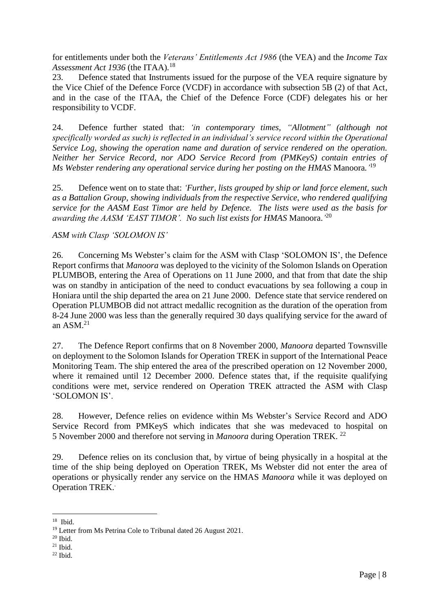for entitlements under both the *Veterans' Entitlements Act 1986* (the VEA) and the *Income Tax Assessment Act 1936* (the ITAA)*.* 18

23. Defence stated that Instruments issued for the purpose of the VEA require signature by the Vice Chief of the Defence Force (VCDF) in accordance with subsection 5B (2) of that Act, and in the case of the ITAA, the Chief of the Defence Force (CDF) delegates his or her responsibility to VCDF.

24. Defence further stated that: *'in contemporary times, "Allotment" (although not specifically worded as such) is reflected in an individual's service record within the Operational Service Log, showing the operation name and duration of service rendered on the operation. Neither her Service Record, nor ADO Service Record from (PMKeyS) contain entries of Ms Webster rendering any operational service during her posting on the HMAS* Manoora*.'* 19

25. Defence went on to state that: *'Further, lists grouped by ship or land force element, such as a Battalion Group, showing individuals from the respective Service, who rendered qualifying service for the AASM East Timor are held by Defence. The lists were used as the basis for awarding the AASM 'EAST TIMOR'. No such list exists for HMAS* Manoora.*'* 20

#### *ASM with Clasp 'SOLOMON IS'*

26. Concerning Ms Webster's claim for the ASM with Clasp 'SOLOMON IS', the Defence Report confirms that *Manoora* was deployed to the vicinity of the Solomon Islands on Operation PLUMBOB, entering the Area of Operations on 11 June 2000, and that from that date the ship was on standby in anticipation of the need to conduct evacuations by sea following a coup in Honiara until the ship departed the area on 21 June 2000. Defence state that service rendered on Operation PLUMBOB did not attract medallic recognition as the duration of the operation from 8-24 June 2000 was less than the generally required 30 days qualifying service for the award of an  $ASM.<sup>21</sup>$ 

27. The Defence Report confirms that on 8 November 2000, *Manoora* departed Townsville on deployment to the Solomon Islands for Operation TREK in support of the International Peace Monitoring Team. The ship entered the area of the prescribed operation on 12 November 2000, where it remained until 12 December 2000. Defence states that, if the requisite qualifying conditions were met, service rendered on Operation TREK attracted the ASM with Clasp 'SOLOMON IS'.

28. However, Defence relies on evidence within Ms Webster's Service Record and ADO Service Record from PMKeyS which indicates that she was medevaced to hospital on 5 November 2000 and therefore not serving in *Manoora* during Operation TREK. 22

29. Defence relies on its conclusion that, by virtue of being physically in a hospital at the time of the ship being deployed on Operation TREK, Ms Webster did not enter the area of operations or physically render any service on the HMAS *Manoora* while it was deployed on Operation TREK. .

 $18$  Ibid.

<sup>&</sup>lt;sup>19</sup> Letter from Ms Petrina Cole to Tribunal dated 26 August 2021.

 $20$  Ibid.

 $21$  Ibid.

 $22$  Ibid.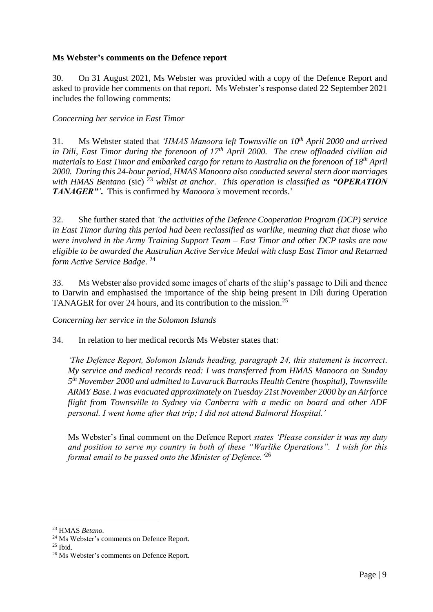## **Ms Webster's comments on the Defence report**

30. On 31 August 2021, Ms Webster was provided with a copy of the Defence Report and asked to provide her comments on that report. Ms Webster's response dated 22 September 2021 includes the following comments:

*Concerning her service in East Timor*

31. Ms Webster stated that *'HMAS Manoora left Townsville on 10th April 2000 and arrived in Dili, East Timor during the forenoon of 17th April 2000. The crew offloaded civilian aid materials to East Timor and embarked cargo for return to Australia on the forenoon of 18th April 2000. During this 24-hour period, HMAS Manoora also conducted several stern door marriages*  with HMAS Bentano (sic) <sup>23</sup> whilst at anchor. This operation is classified as *"OPERATION TANAGER"'***.** This is confirmed by *Manoora's* movement records.'

32. She further stated that *'the activities of the Defence Cooperation Program (DCP) service in East Timor during this period had been reclassified as warlike, meaning that that those who were involved in the Army Training Support Team – East Timor and other DCP tasks are now eligible to be awarded the Australian Active Service Medal with clasp East Timor and Returned form Active Service Badge*. 24

33. Ms Webster also provided some images of charts of the ship's passage to Dili and thence to Darwin and emphasised the importance of the ship being present in Dili during Operation TANAGER for over 24 hours, and its contribution to the mission.<sup>25</sup>

*Concerning her service in the Solomon Islands* 

34. In relation to her medical records Ms Webster states that:

*'The Defence Report, Solomon Islands heading, paragraph 24, this statement is incorrect. My service and medical records read: I was transferred from HMAS Manoora on Sunday 5 th November 2000 and admitted to Lavarack Barracks Health Centre (hospital), Townsville ARMY Base. I was evacuated approximately on Tuesday 21st November 2000 by an Airforce flight from Townsville to Sydney via Canberra with a medic on board and other ADF personal. I went home after that trip; I did not attend Balmoral Hospital.'*

Ms Webster's final comment on the Defence Report *states 'Please consider it was my duty and position to serve my country in both of these "Warlike Operations". I wish for this formal email to be passed onto the Minister of Defence.'*<sup>26</sup>

<u>.</u>

<sup>23</sup> HMAS *Betano.*

<sup>24</sup> Ms Webster's comments on Defence Report.

 $25$  Ibid.

<sup>&</sup>lt;sup>26</sup> Ms Webster's comments on Defence Report.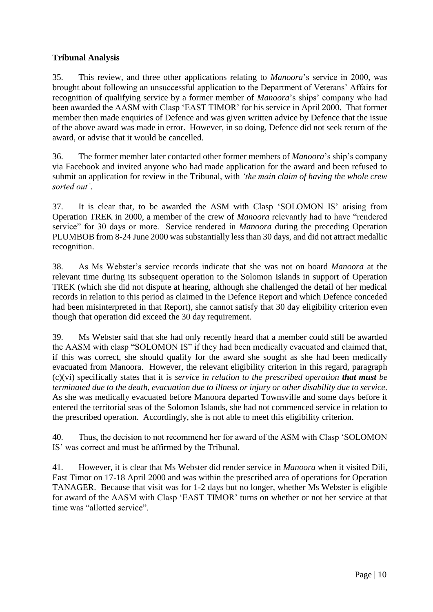# **Tribunal Analysis**

35. This review, and three other applications relating to *Manoora*'s service in 2000, was brought about following an unsuccessful application to the Department of Veterans' Affairs for recognition of qualifying service by a former member of *Manoora*'s ships' company who had been awarded the AASM with Clasp 'EAST TIMOR' for his service in April 2000. That former member then made enquiries of Defence and was given written advice by Defence that the issue of the above award was made in error. However, in so doing, Defence did not seek return of the award, or advise that it would be cancelled.

36. The former member later contacted other former members of *Manoora*'s ship's company via Facebook and invited anyone who had made application for the award and been refused to submit an application for review in the Tribunal, with *'the main claim of having the whole crew sorted out'*.

37. It is clear that, to be awarded the ASM with Clasp 'SOLOMON IS' arising from Operation TREK in 2000, a member of the crew of *Manoora* relevantly had to have "rendered service" for 30 days or more. Service rendered in *Manoora* during the preceding Operation PLUMBOB from 8-24 June 2000 was substantially less than 30 days, and did not attract medallic recognition.

38. As Ms Webster's service records indicate that she was not on board *Manoora* at the relevant time during its subsequent operation to the Solomon Islands in support of Operation TREK (which she did not dispute at hearing, although she challenged the detail of her medical records in relation to this period as claimed in the Defence Report and which Defence conceded had been misinterpreted in that Report), she cannot satisfy that 30 day eligibility criterion even though that operation did exceed the 30 day requirement.

39. Ms Webster said that she had only recently heard that a member could still be awarded the AASM with clasp "SOLOMON IS" if they had been medically evacuated and claimed that, if this was correct, she should qualify for the award she sought as she had been medically evacuated from Manoora. However, the relevant eligibility criterion in this regard, paragraph (c)(vi) specifically states that it is *service in relation to the prescribed operation that must be terminated due to the death, evacuation due to illness or injury or other disability due to service*. As she was medically evacuated before Manoora departed Townsville and some days before it entered the territorial seas of the Solomon Islands, she had not commenced service in relation to the prescribed operation. Accordingly, she is not able to meet this eligibility criterion.

40. Thus, the decision to not recommend her for award of the ASM with Clasp 'SOLOMON IS' was correct and must be affirmed by the Tribunal.

41. However, it is clear that Ms Webster did render service in *Manoora* when it visited Dili, East Timor on 17-18 April 2000 and was within the prescribed area of operations for Operation TANAGER. Because that visit was for 1-2 days but no longer, whether Ms Webster is eligible for award of the AASM with Clasp 'EAST TIMOR' turns on whether or not her service at that time was "allotted service".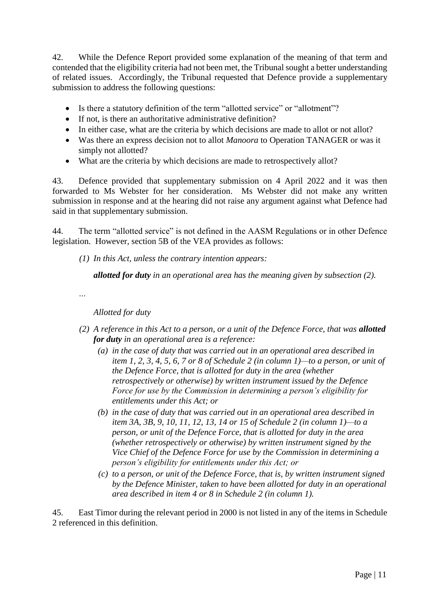42. While the Defence Report provided some explanation of the meaning of that term and contended that the eligibility criteria had not been met, the Tribunal sought a better understanding of related issues. Accordingly, the Tribunal requested that Defence provide a supplementary submission to address the following questions:

- Is there a statutory definition of the term "allotted service" or "allotment"?
- $\bullet$  If not, is there an authoritative administrative definition?
- In either case, what are the criteria by which decisions are made to allot or not allot?
- Was there an express decision not to allot *Manoora* to Operation TANAGER or was it simply not allotted?
- What are the criteria by which decisions are made to retrospectively allot?

43. Defence provided that supplementary submission on 4 April 2022 and it was then forwarded to Ms Webster for her consideration. Ms Webster did not make any written submission in response and at the hearing did not raise any argument against what Defence had said in that supplementary submission.

44. The term "allotted service" is not defined in the AASM Regulations or in other Defence legislation. However, section 5B of the VEA provides as follows:

*(1) In this Act, unless the contrary intention appears:*

*allotted for duty in an operational area has the meaning given by subsection (2).*

*…*

*Allotted for duty*

- *(2) A reference in this Act to a person, or a unit of the Defence Force, that was allotted for duty in an operational area is a reference:*
	- *(a) in the case of duty that was carried out in an operational area described in item 1, 2, 3, 4, 5, 6, 7 or 8 of Schedule 2 (in column 1)—to a person, or unit of the Defence Force, that is allotted for duty in the area (whether retrospectively or otherwise) by written instrument issued by the Defence Force for use by the Commission in determining a person's eligibility for entitlements under this Act; or*
	- *(b) in the case of duty that was carried out in an operational area described in item 3A, 3B, 9, 10, 11, 12, 13, 14 or 15 of Schedule 2 (in column 1)—to a person, or unit of the Defence Force, that is allotted for duty in the area (whether retrospectively or otherwise) by written instrument signed by the Vice Chief of the Defence Force for use by the Commission in determining a person's eligibility for entitlements under this Act; or*
	- *(c) to a person, or unit of the Defence Force, that is, by written instrument signed by the Defence Minister, taken to have been allotted for duty in an operational area described in item 4 or 8 in Schedule 2 (in column 1).*

45. East Timor during the relevant period in 2000 is not listed in any of the items in Schedule 2 referenced in this definition.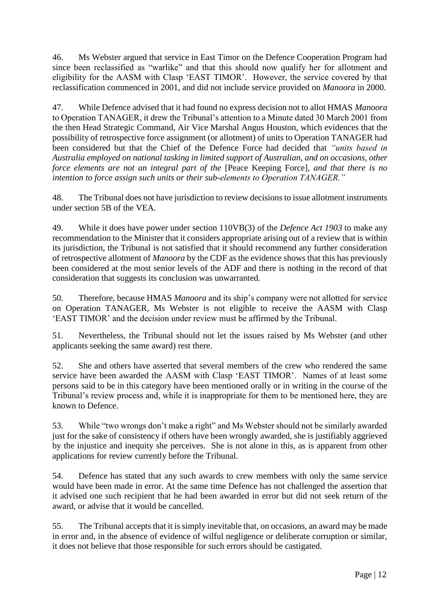46. Ms Webster argued that service in East Timor on the Defence Cooperation Program had since been reclassified as "warlike" and that this should now qualify her for allotment and eligibility for the AASM with Clasp 'EAST TIMOR'. However, the service covered by that reclassification commenced in 2001, and did not include service provided on *Manoora* in 2000.

47. While Defence advised that it had found no express decision not to allot HMAS *Manoora* to Operation TANAGER, it drew the Tribunal's attention to a Minute dated 30 March 2001 from the then Head Strategic Command, Air Vice Marshal Angus Houston, which evidences that the possibility of retrospective force assignment (or allotment) of units to Operation TANAGER had been considered but that the Chief of the Defence Force had decided that *"units based in Australia employed on national tasking in limited support of Australian, and on occasions, other force elements are not an integral part of the* [Peace Keeping Force]*, and that there is no intention to force assign such units or their sub-elements to Operation TANAGER."*

48. The Tribunal does not have jurisdiction to review decisions to issue allotment instruments under section 5B of the VEA*.* 

49. While it does have power under section 110VB(3) of the *Defence Act 1903* to make any recommendation to the Minister that it considers appropriate arising out of a review that is within its jurisdiction, the Tribunal is not satisfied that it should recommend any further consideration of retrospective allotment of *Manoora* by the CDF as the evidence shows that this has previously been considered at the most senior levels of the ADF and there is nothing in the record of that consideration that suggests its conclusion was unwarranted.

50. Therefore, because HMAS *Manoora* and its ship's company were not allotted for service on Operation TANAGER, Ms Webster is not eligible to receive the AASM with Clasp 'EAST TIMOR' and the decision under review must be affirmed by the Tribunal.

51. Nevertheless, the Tribunal should not let the issues raised by Ms Webster (and other applicants seeking the same award) rest there.

52. She and others have asserted that several members of the crew who rendered the same service have been awarded the AASM with Clasp 'EAST TIMOR'. Names of at least some persons said to be in this category have been mentioned orally or in writing in the course of the Tribunal's review process and, while it is inappropriate for them to be mentioned here, they are known to Defence.

53. While "two wrongs don't make a right" and Ms Webster should not be similarly awarded just for the sake of consistency if others have been wrongly awarded, she is justifiably aggrieved by the injustice and inequity she perceives. She is not alone in this, as is apparent from other applications for review currently before the Tribunal.

54. Defence has stated that any such awards to crew members with only the same service would have been made in error. At the same time Defence has not challenged the assertion that it advised one such recipient that he had been awarded in error but did not seek return of the award, or advise that it would be cancelled.

55. The Tribunal accepts that it is simply inevitable that, on occasions, an award may be made in error and, in the absence of evidence of wilful negligence or deliberate corruption or similar, it does not believe that those responsible for such errors should be castigated.